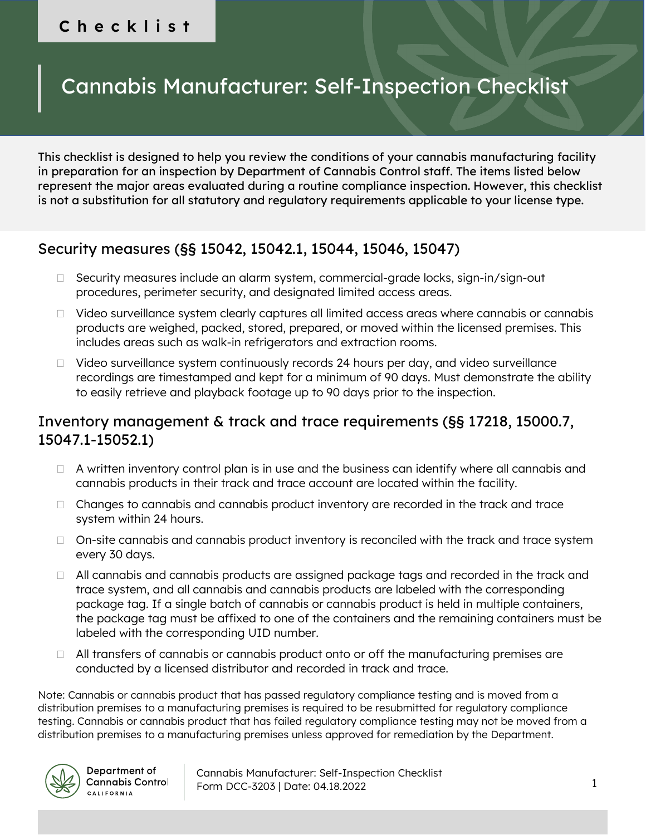#### **Checklist**

# Cannabis Manufacturer: Self-Inspection Checklist

This checklist is designed to help you review the conditions of your cannabis manufacturing facility in preparation for an inspection by Department of Cannabis Control staff. The items listed below represent the major areas evaluated during a routine compliance inspection. However, this checklist is not a substitution for all statutory and regulatory requirements applicable to your license type.

#### Security measures (§§ 15042, 15042.1, 15044, 15046, 15047)

- □ Security measures include an alarm system, commercial-grade locks, sign-in/sign-out procedures, perimeter security, and designated limited access areas.
- □ Video surveillance system clearly captures all limited access areas where cannabis or cannabis products are weighed, packed, stored, prepared, or moved within the licensed premises. This includes areas such as walk-in refrigerators and extraction rooms.
- $\Box$  Video surveillance system continuously records 24 hours per day, and video surveillance recordings are timestamped and kept for a minimum of 90 days. Must demonstrate the ability to easily retrieve and playback footage up to 90 days prior to the inspection.

#### Inventory management & track and trace requirements (§§ 17218, 15000.7, 15047.1-15052.1)

- $\Box$  A written inventory control plan is in use and the business can identify where all cannabis and cannabis products in their track and trace account are located within the facility.
- $\Box$  Changes to cannabis and cannabis product inventory are recorded in the track and trace system within 24 hours.
- $\Box$  On-site cannabis and cannabis product inventory is reconciled with the track and trace system every 30 days.
- $\Box$  All cannabis and cannabis products are assigned package tags and recorded in the track and trace system, and all cannabis and cannabis products are labeled with the corresponding package tag. If a single batch of cannabis or cannabis product is held in multiple containers, the package tag must be affixed to one of the containers and the remaining containers must be labeled with the corresponding UID number.
- $\Box$  All transfers of cannabis or cannabis product onto or off the manufacturing premises are conducted by a licensed distributor and recorded in track and trace.

Note: Cannabis or cannabis product that has passed regulatory compliance testing and is moved from a distribution premises to a manufacturing premises is required to be resubmitted for regulatory compliance testing. Cannabis or cannabis product that has failed regulatory compliance testing may not be moved from a distribution premises to a manufacturing premises unless approved for remediation by the Department.



Department of **Cannabis Control CALIFORNIA**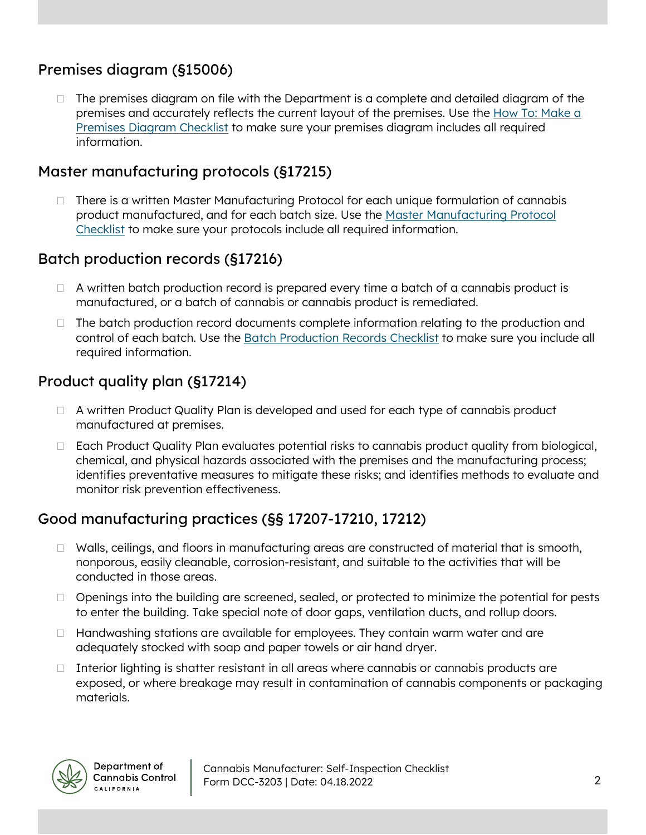### Premises diagram (§15006)

 $\Box$  The premises diagram on file with the Department is a complete and detailed diagram of the premises and accurately reflects the current layout of the premises. Use the [How To: Make a](https://cannabis.ca.gov/wp-content/uploads/sites/2/2021/12/Premises-Diagram-Checklist_211022.pdf)  [Premises Diagram Checklist](https://cannabis.ca.gov/wp-content/uploads/sites/2/2021/12/Premises-Diagram-Checklist_211022.pdf) to make sure your premises diagram includes all required information.

#### Master manufacturing protocols (§17215)

 There is a written Master Manufacturing Protocol for each unique formulation of cannabis product manufactured, and for each batch size. Use the [Master Manufacturing Protocol](https://cannabis.ca.gov/wp-content/uploads/sites/2/2021/12/Master-Manufacturing-Protocol-Checklist_211022.pdf)  [Checklist](https://cannabis.ca.gov/wp-content/uploads/sites/2/2021/12/Master-Manufacturing-Protocol-Checklist_211022.pdf) to make sure your protocols include all required information.

### Batch production records (§17216)

- $\Box$  A written batch production record is prepared every time a batch of a cannabis product is manufactured, or a batch of cannabis or cannabis product is remediated.
- $\Box$  The batch production record documents complete information relating to the production and control of each batch. Use the [Batch Production Records Checklist](https://cannabis.ca.gov/wp-content/uploads/sites/2/2021/12/Batch-Production-Record-Checklist_211022.pdf) to make sure you include all required information.

# Product quality plan (§17214)

- □ A written Product Quality Plan is developed and used for each type of cannabis product manufactured at premises.
- □ Each Product Quality Plan evaluates potential risks to cannabis product quality from biological, chemical, and physical hazards associated with the premises and the manufacturing process; identifies preventative measures to mitigate these risks; and identifies methods to evaluate and monitor risk prevention effectiveness.

# Good manufacturing practices (§§ 17207-17210, 17212)

- $\Box$  Walls, ceilings, and floors in manufacturing areas are constructed of material that is smooth, nonporous, easily cleanable, corrosion-resistant, and suitable to the activities that will be conducted in those areas.
- $\Box$  Openings into the building are screened, sealed, or protected to minimize the potential for pests to enter the building. Take special note of door gaps, ventilation ducts, and rollup doors.
- $\Box$  Handwashing stations are available for employees. They contain warm water and are adequately stocked with soap and paper towels or air hand dryer.
- $\Box$  Interior lighting is shatter resistant in all areas where cannabis or cannabis products are exposed, or where breakage may result in contamination of cannabis components or packaging materials.

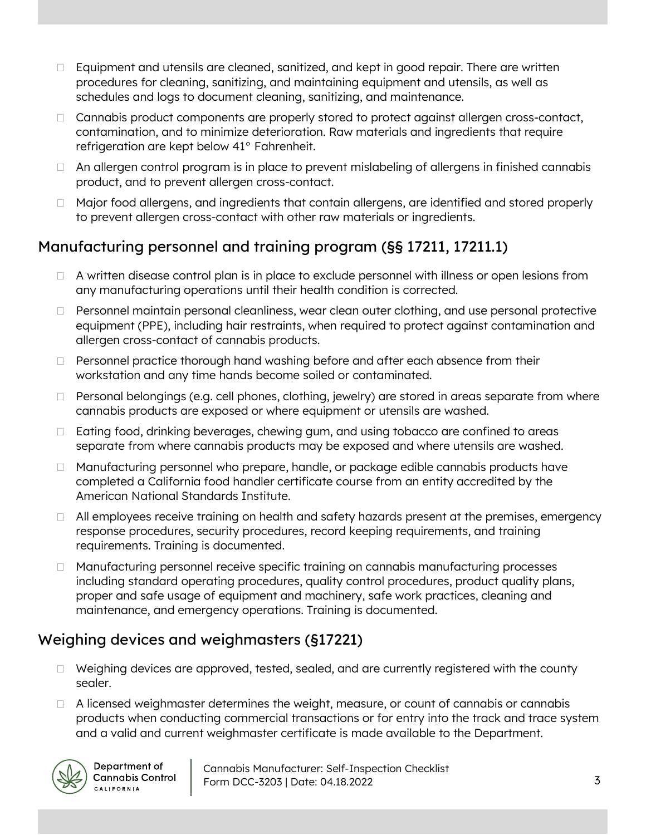- $\Box$  Equipment and utensils are cleaned, sanitized, and kept in good repair. There are written procedures for cleaning, sanitizing, and maintaining equipment and utensils, as well as schedules and logs to document cleaning, sanitizing, and maintenance.
- □ Cannabis product components are properly stored to protect against allergen cross-contact, contamination, and to minimize deterioration. Raw materials and ingredients that require refrigeration are kept below 41° Fahrenheit.
- □ An allergen control program is in place to prevent mislabeling of allergens in finished cannabis product, and to prevent allergen cross-contact.
- □ Major food allergens, and ingredients that contain allergens, are identified and stored properly to prevent allergen cross-contact with other raw materials or ingredients.

# Manufacturing personnel and training program (§§ 17211, 17211.1)

- $\Box$  A written disease control plan is in place to exclude personnel with illness or open lesions from any manufacturing operations until their health condition is corrected.
- Personnel maintain personal cleanliness, wear clean outer clothing, and use personal protective equipment (PPE), including hair restraints, when required to protect against contamination and allergen cross-contact of cannabis products.
- $\Box$  Personnel practice thorough hand washing before and after each absence from their workstation and any time hands become soiled or contaminated.
- $\Box$  Personal belongings (e.g. cell phones, clothing, jewelry) are stored in areas separate from where cannabis products are exposed or where equipment or utensils are washed.
- □ Eating food, drinking beverages, chewing gum, and using tobacco are confined to areas separate from where cannabis products may be exposed and where utensils are washed.
- □ Manufacturing personnel who prepare, handle, or package edible cannabis products have completed a California food handler certificate course from an entity accredited by the American National Standards Institute.
- $\Box$  All employees receive training on health and safety hazards present at the premises, emergency response procedures, security procedures, record keeping requirements, and training requirements. Training is documented.
- □ Manufacturing personnel receive specific training on cannabis manufacturing processes including standard operating procedures, quality control procedures, product quality plans, proper and safe usage of equipment and machinery, safe work practices, cleaning and maintenance, and emergency operations. Training is documented.

# Weighing devices and weighmasters (§17221)

- $\Box$  Weighing devices are approved, tested, sealed, and are currently registered with the county sealer.
- $\Box$  A licensed weighmaster determines the weight, measure, or count of cannabis or cannabis products when conducting commercial transactions or for entry into the track and trace system and a valid and current weighmaster certificate is made available to the Department.

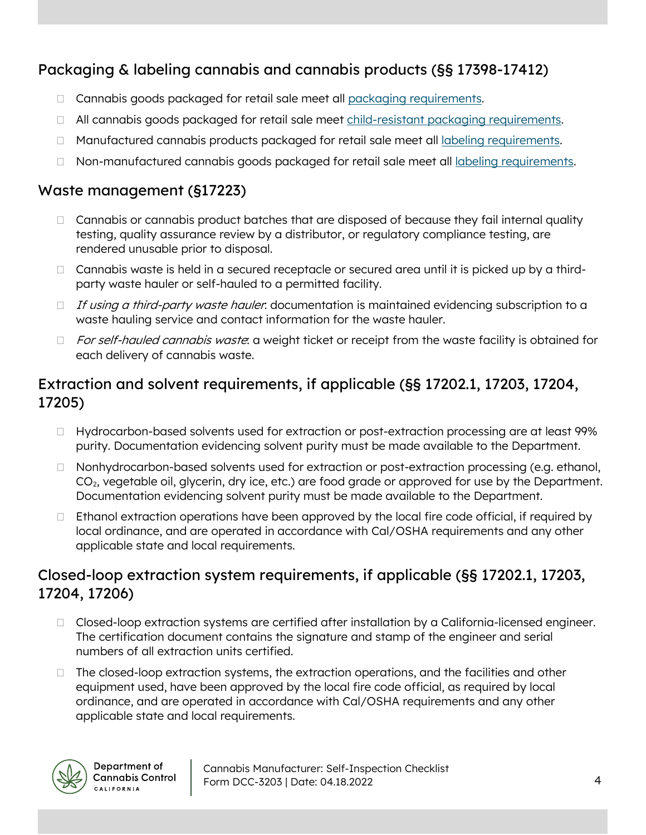# Packaging & labeling cannabis and cannabis products (§§ 17398-17412)

- □ Cannabis goods packaged for retail sale meet all [packaging requirements.](https://cannabis.ca.gov/wp-content/uploads/sites/2/2021/12/Packaging-Checklist_211022.pdf)
- All cannabis goods packaged for retail sale meet [child-resistant packaging requirements.](https://cannabis.ca.gov/wp-content/uploads/sites/2/2021/12/Packaging-Checklist-Child-Resistant-Packaging_211022.pdf)
- $\Box$  Manufactured cannabis products packaged for retail sale meet all [labeling requirements.](https://cannabis.ca.gov/wp-content/uploads/sites/2/2021/12/Labeling-Checklist-Manufactured-Products_211022.pdf)
- $\Box$  Non-manufactured cannabis goods packaged for retail sale meet all [labeling requirements.](https://cannabis.ca.gov/wp-content/uploads/sites/2/2021/12/Labeling-Checklist-Nonmanufactured-Goods_211022.pdf)

#### Waste management (§17223)

- $\Box$  Cannabis or cannabis product batches that are disposed of because they fail internal quality testing, quality assurance review by a distributor, or regulatory compliance testing, are rendered unusable prior to disposal.
- $\Box$  Cannabis waste is held in a secured receptacle or secured area until it is picked up by a thirdparty waste hauler or self-hauled to a permitted facility.
- If using a third-party waste hauler: documentation is maintained evidencing subscription to a waste hauling service and contact information for the waste hauler.
- □ For self-hauled cannabis waste: a weight ticket or receipt from the waste facility is obtained for each delivery of cannabis waste.

# Extraction and solvent requirements, if applicable (§§ 17202.1, 17203, 17204, 17205)

- $\Box$  Hydrocarbon-based solvents used for extraction or post-extraction processing are at least 99% purity. Documentation evidencing solvent purity must be made available to the Department.
- $\Box$  Nonhydrocarbon-based solvents used for extraction or post-extraction processing (e.g. ethanol, CO2, vegetable oil, glycerin, dry ice, etc.) are food grade or approved for use by the Department. Documentation evidencing solvent purity must be made available to the Department.
- $\Box$  Ethanol extraction operations have been approved by the local fire code official, if required by local ordinance, and are operated in accordance with Cal/OSHA requirements and any other applicable state and local requirements.

### Closed-loop extraction system requirements, if applicable (§§ 17202.1, 17203, 17204, 17206)

- □ Closed-loop extraction systems are certified after installation by a California-licensed engineer. The certification document contains the signature and stamp of the engineer and serial numbers of all extraction units certified.
- $\Box$  The closed-loop extraction systems, the extraction operations, and the facilities and other equipment used, have been approved by the local fire code official, as required by local ordinance, and are operated in accordance with Cal/OSHA requirements and any other applicable state and local requirements.

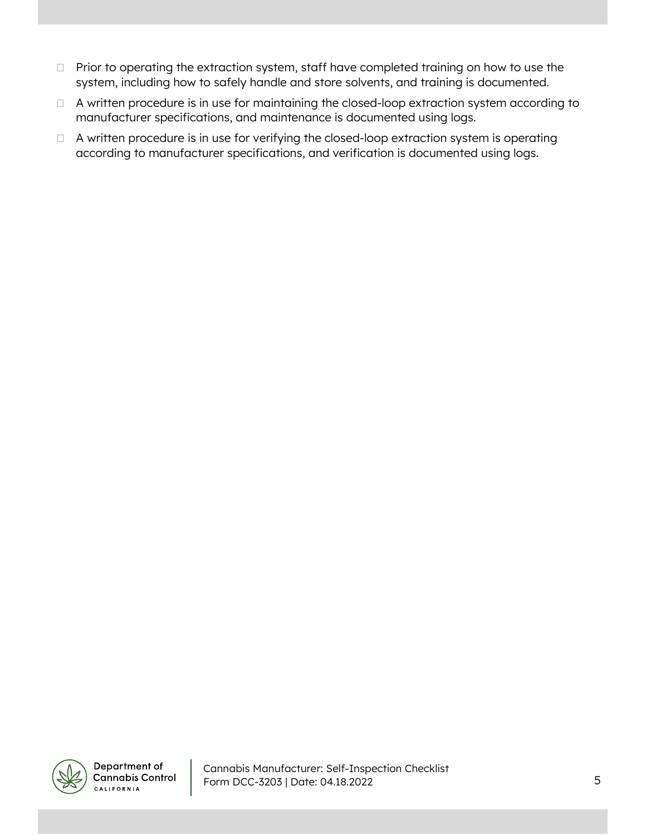- □ Prior to operating the extraction system, staff have completed training on how to use the system, including how to safely handle and store solvents, and training is documented.
- □ A written procedure is in use for maintaining the closed-loop extraction system according to manufacturer specifications, and maintenance is documented using logs.
- □ A written procedure is in use for verifying the closed-loop extraction system is operating according to manufacturer specifications, and verification is documented using logs.